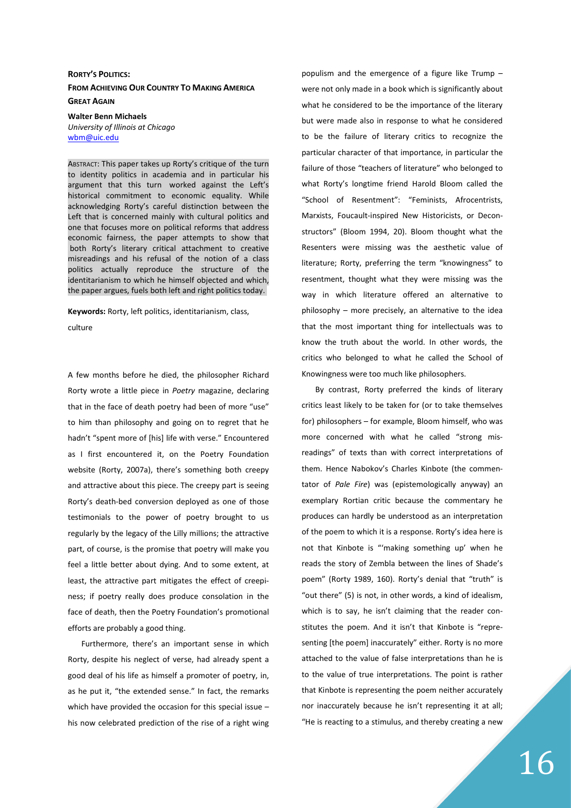## RORTY'S POLITICS:

FROM ACHIEVING OUR COUNTRY TO MAKING AMERICA GREAT AGAIN

Walter Benn Michaels

University of Illinois at Chicago wbm@uic.edu

ABSTRACT: This paper takes up Rorty's critique of the turn to identity politics in academia and in particular his argument that this turn worked against the Left's historical commitment to economic equality. While acknowledging Rorty's careful distinction between the Left that is concerned mainly with cultural politics and one that focuses more on political reforms that address economic fairness, the paper attempts to show that both Rorty's literary critical attachment to creative misreadings and his refusal of the notion of a class politics actually reproduce the structure of the identitarianism to which he himself objected and which, the paper argues, fuels both left and right politics today.

Keywords: Rorty, left politics, identitarianism, class,

culture

A few months before he died, the philosopher Richard Rorty wrote a little piece in Poetry magazine, declaring that in the face of death poetry had been of more "use" to him than philosophy and going on to regret that he hadn't "spent more of [his] life with verse." Encountered as I first encountered it, on the Poetry Foundation website (Rorty, 2007a), there's something both creepy and attractive about this piece. The creepy part is seeing Rorty's death-bed conversion deployed as one of those testimonials to the power of poetry brought to us regularly by the legacy of the Lilly millions; the attractive part, of course, is the promise that poetry will make you feel a little better about dying. And to some extent, at least, the attractive part mitigates the effect of creepiness; if poetry really does produce consolation in the face of death, then the Poetry Foundation's promotional efforts are probably a good thing.

Furthermore, there's an important sense in which Rorty, despite his neglect of verse, had already spent a good deal of his life as himself a promoter of poetry, in, as he put it, "the extended sense." In fact, the remarks which have provided the occasion for this special issue – his now celebrated prediction of the rise of a right wing populism and the emergence of a figure like Trump – were not only made in a book which is significantly about what he considered to be the importance of the literary but were made also in response to what he considered to be the failure of literary critics to recognize the particular character of that importance, in particular the failure of those "teachers of literature" who belonged to what Rorty's longtime friend Harold Bloom called the "School of Resentment": "Feminists, Afrocentrists, Marxists, Foucault-inspired New Historicists, or Deconstructors" (Bloom 1994, 20). Bloom thought what the Resenters were missing was the aesthetic value of literature; Rorty, preferring the term "knowingness" to resentment, thought what they were missing was the way in which literature offered an alternative to philosophy – more precisely, an alternative to the idea that the most important thing for intellectuals was to know the truth about the world. In other words, the critics who belonged to what he called the School of Knowingness were too much like philosophers.

By contrast, Rorty preferred the kinds of literary critics least likely to be taken for (or to take themselves for) philosophers – for example, Bloom himself, who was more concerned with what he called "strong misreadings" of texts than with correct interpretations of them. Hence Nabokov's Charles Kinbote (the commentator of Pale Fire) was (epistemologically anyway) an exemplary Rortian critic because the commentary he produces can hardly be understood as an interpretation of the poem to which it is a response. Rorty's idea here is not that Kinbote is "'making something up' when he reads the story of Zembla between the lines of Shade's poem" (Rorty 1989, 160). Rorty's denial that "truth" is "out there" (5) is not, in other words, a kind of idealism, which is to say, he isn't claiming that the reader constitutes the poem. And it isn't that Kinbote is "representing [the poem] inaccurately" either. Rorty is no more attached to the value of false interpretations than he is to the value of true interpretations. The point is rather that Kinbote is representing the poem neither accurately nor inaccurately because he isn't representing it at all; "He is reacting to a stimulus, and thereby creating a new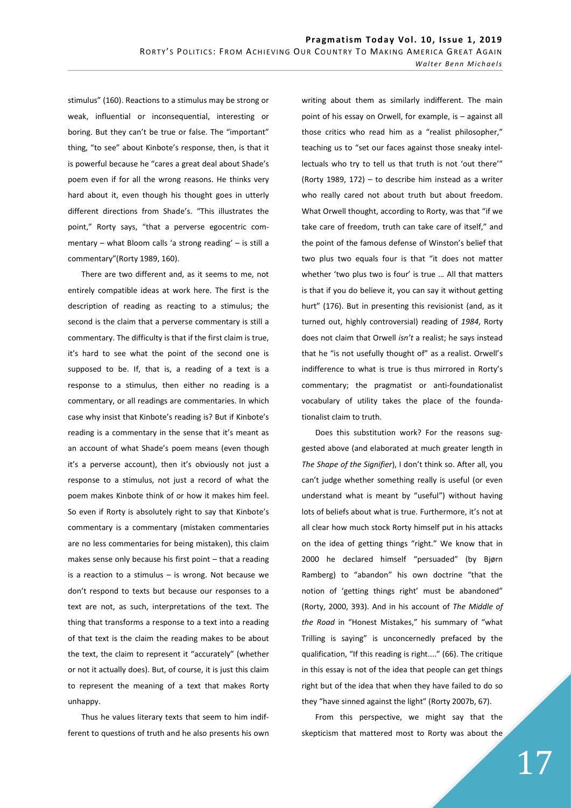stimulus" (160). Reactions to a stimulus may be strong or weak, influential or inconsequential, interesting or boring. But they can't be true or false. The "important" thing, "to see" about Kinbote's response, then, is that it is powerful because he "cares a great deal about Shade's poem even if for all the wrong reasons. He thinks very hard about it, even though his thought goes in utterly different directions from Shade's. "This illustrates the point," Rorty says, "that a perverse egocentric commentary – what Bloom calls 'a strong reading' – is still a commentary"(Rorty 1989, 160).

There are two different and, as it seems to me, not entirely compatible ideas at work here. The first is the description of reading as reacting to a stimulus; the second is the claim that a perverse commentary is still a commentary. The difficulty is that if the first claim is true, it's hard to see what the point of the second one is supposed to be. If, that is, a reading of a text is a response to a stimulus, then either no reading is a commentary, or all readings are commentaries. In which case why insist that Kinbote's reading is? But if Kinbote's reading is a commentary in the sense that it's meant as an account of what Shade's poem means (even though it's a perverse account), then it's obviously not just a response to a stimulus, not just a record of what the poem makes Kinbote think of or how it makes him feel. So even if Rorty is absolutely right to say that Kinbote's commentary is a commentary (mistaken commentaries are no less commentaries for being mistaken), this claim makes sense only because his first point – that a reading is a reaction to a stimulus  $-$  is wrong. Not because we don't respond to texts but because our responses to a text are not, as such, interpretations of the text. The thing that transforms a response to a text into a reading of that text is the claim the reading makes to be about the text, the claim to represent it "accurately" (whether or not it actually does). But, of course, it is just this claim to represent the meaning of a text that makes Rorty unhappy.

Thus he values literary texts that seem to him indifferent to questions of truth and he also presents his own writing about them as similarly indifferent. The main point of his essay on Orwell, for example, is – against all those critics who read him as a "realist philosopher," teaching us to "set our faces against those sneaky intellectuals who try to tell us that truth is not 'out there'" (Rorty 1989, 172) – to describe him instead as a writer who really cared not about truth but about freedom. What Orwell thought, according to Rorty, was that "if we take care of freedom, truth can take care of itself," and the point of the famous defense of Winston's belief that two plus two equals four is that "it does not matter whether 'two plus two is four' is true … All that matters is that if you do believe it, you can say it without getting hurt" (176). But in presenting this revisionist (and, as it turned out, highly controversial) reading of 1984, Rorty does not claim that Orwell isn't a realist; he says instead that he "is not usefully thought of" as a realist. Orwell's indifference to what is true is thus mirrored in Rorty's commentary; the pragmatist or anti-foundationalist vocabulary of utility takes the place of the foundationalist claim to truth.

Does this substitution work? For the reasons suggested above (and elaborated at much greater length in The Shape of the Signifier), I don't think so. After all, you can't judge whether something really is useful (or even understand what is meant by "useful") without having lots of beliefs about what is true. Furthermore, it's not at all clear how much stock Rorty himself put in his attacks on the idea of getting things "right." We know that in 2000 he declared himself "persuaded" (by Bjørn Ramberg) to "abandon" his own doctrine "that the notion of 'getting things right' must be abandoned" (Rorty, 2000, 393). And in his account of The Middle of the Road in "Honest Mistakes," his summary of "what Trilling is saying" is unconcernedly prefaced by the qualification, "If this reading is right...." (66). The critique in this essay is not of the idea that people can get things right but of the idea that when they have failed to do so they "have sinned against the light" (Rorty 2007b, 67).

From this perspective, we might say that the skepticism that mattered most to Rorty was about the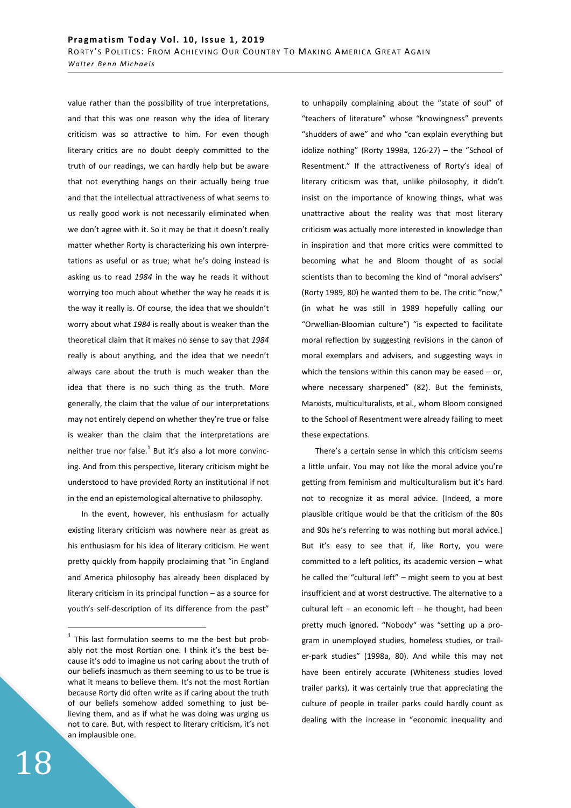value rather than the possibility of true interpretations, and that this was one reason why the idea of literary criticism was so attractive to him. For even though literary critics are no doubt deeply committed to the truth of our readings, we can hardly help but be aware that not everything hangs on their actually being true and that the intellectual attractiveness of what seems to us really good work is not necessarily eliminated when we don't agree with it. So it may be that it doesn't really matter whether Rorty is characterizing his own interpretations as useful or as true; what he's doing instead is asking us to read 1984 in the way he reads it without worrying too much about whether the way he reads it is the way it really is. Of course, the idea that we shouldn't worry about what 1984 is really about is weaker than the theoretical claim that it makes no sense to say that 1984 really is about anything, and the idea that we needn't always care about the truth is much weaker than the idea that there is no such thing as the truth. More generally, the claim that the value of our interpretations may not entirely depend on whether they're true or false is weaker than the claim that the interpretations are neither true nor false. $^{1}$  But it's also a lot more convincing. And from this perspective, literary criticism might be understood to have provided Rorty an institutional if not in the end an epistemological alternative to philosophy.

In the event, however, his enthusiasm for actually existing literary criticism was nowhere near as great as his enthusiasm for his idea of literary criticism. He went pretty quickly from happily proclaiming that "in England and America philosophy has already been displaced by literary criticism in its principal function – as a source for youth's self-description of its difference from the past" to unhappily complaining about the "state of soul" of "teachers of literature" whose "knowingness" prevents "shudders of awe" and who "can explain everything but idolize nothing" (Rorty 1998a, 126-27) – the "School of Resentment." If the attractiveness of Rorty's ideal of literary criticism was that, unlike philosophy, it didn't insist on the importance of knowing things, what was unattractive about the reality was that most literary criticism was actually more interested in knowledge than in inspiration and that more critics were committed to becoming what he and Bloom thought of as social scientists than to becoming the kind of "moral advisers" (Rorty 1989, 80) he wanted them to be. The critic "now," (in what he was still in 1989 hopefully calling our "Orwellian-Bloomian culture") "is expected to facilitate moral reflection by suggesting revisions in the canon of moral exemplars and advisers, and suggesting ways in which the tensions within this canon may be eased  $-$  or, where necessary sharpened" (82). But the feminists, Marxists, multiculturalists, et al., whom Bloom consigned to the School of Resentment were already failing to meet these expectations.

There's a certain sense in which this criticism seems a little unfair. You may not like the moral advice you're getting from feminism and multiculturalism but it's hard not to recognize it as moral advice. (Indeed, a more plausible critique would be that the criticism of the 80s and 90s he's referring to was nothing but moral advice.) But it's easy to see that if, like Rorty, you were committed to a left politics, its academic version – what he called the "cultural left" – might seem to you at best insufficient and at worst destructive. The alternative to a cultural left – an economic left – he thought, had been pretty much ignored. "Nobody" was "setting up a program in unemployed studies, homeless studies, or trailer-park studies" (1998a, 80). And while this may not have been entirely accurate (Whiteness studies loved trailer parks), it was certainly true that appreciating the culture of people in trailer parks could hardly count as dealing with the increase in "economic inequality and

 $\overline{a}$ 

 $1$  This last formulation seems to me the best but probably not the most Rortian one. I think it's the best because it's odd to imagine us not caring about the truth of our beliefs inasmuch as them seeming to us to be true is what it means to believe them. It's not the most Rortian because Rorty did often write as if caring about the truth of our beliefs somehow added something to just believing them, and as if what he was doing was urging us not to care. But, with respect to literary criticism, it's not an implausible one.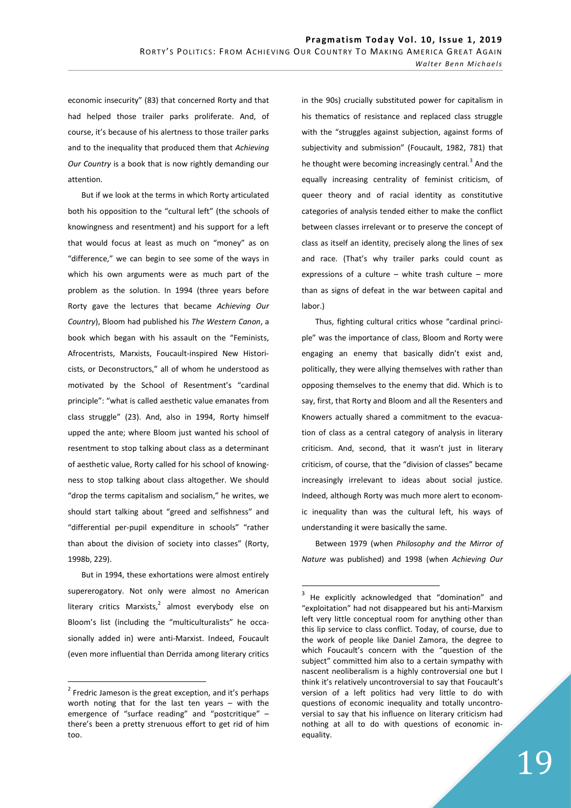economic insecurity" (83) that concerned Rorty and that had helped those trailer parks proliferate. And, of course, it's because of his alertness to those trailer parks and to the inequality that produced them that Achieving Our Country is a book that is now rightly demanding our attention.

But if we look at the terms in which Rorty articulated both his opposition to the "cultural left" (the schools of knowingness and resentment) and his support for a left that would focus at least as much on "money" as on "difference," we can begin to see some of the ways in which his own arguments were as much part of the problem as the solution. In 1994 (three years before Rorty gave the lectures that became Achieving Our Country), Bloom had published his The Western Canon, a book which began with his assault on the "Feminists, Afrocentrists, Marxists, Foucault-inspired New Historicists, or Deconstructors," all of whom he understood as motivated by the School of Resentment's "cardinal principle": "what is called aesthetic value emanates from class struggle" (23). And, also in 1994, Rorty himself upped the ante; where Bloom just wanted his school of resentment to stop talking about class as a determinant of aesthetic value, Rorty called for his school of knowingness to stop talking about class altogether. We should "drop the terms capitalism and socialism," he writes, we should start talking about "greed and selfishness" and "differential per-pupil expenditure in schools" "rather than about the division of society into classes" (Rorty, 1998b, 229).

But in 1994, these exhortations were almost entirely supererogatory. Not only were almost no American literary critics Marxists, $^2$  almost everybody else on Bloom's list (including the "multiculturalists" he occasionally added in) were anti-Marxist. Indeed, Foucault (even more influential than Derrida among literary critics

 $\overline{a}$ 

in the 90s) crucially substituted power for capitalism in his thematics of resistance and replaced class struggle with the "struggles against subjection, against forms of subjectivity and submission" (Foucault, 1982, 781) that he thought were becoming increasingly central.<sup>3</sup> And the equally increasing centrality of feminist criticism, of queer theory and of racial identity as constitutive categories of analysis tended either to make the conflict between classes irrelevant or to preserve the concept of class as itself an identity, precisely along the lines of sex and race. (That's why trailer parks could count as expressions of a culture – white trash culture – more than as signs of defeat in the war between capital and labor.)

Thus, fighting cultural critics whose "cardinal principle" was the importance of class, Bloom and Rorty were engaging an enemy that basically didn't exist and, politically, they were allying themselves with rather than opposing themselves to the enemy that did. Which is to say, first, that Rorty and Bloom and all the Resenters and Knowers actually shared a commitment to the evacuation of class as a central category of analysis in literary criticism. And, second, that it wasn't just in literary criticism, of course, that the "division of classes" became increasingly irrelevant to ideas about social justice. Indeed, although Rorty was much more alert to economic inequality than was the cultural left, his ways of understanding it were basically the same.

Between 1979 (when Philosophy and the Mirror of Nature was published) and 1998 (when Achieving Our

-

 $2$  Fredric Jameson is the great exception, and it's perhaps worth noting that for the last ten years – with the emergence of "surface reading" and "postcritique" – there's been a pretty strenuous effort to get rid of him too.

<sup>&</sup>lt;sup>3</sup> He explicitly acknowledged that "domination" and "exploitation" had not disappeared but his anti-Marxism left very little conceptual room for anything other than this lip service to class conflict. Today, of course, due to the work of people like Daniel Zamora, the degree to which Foucault's concern with the "question of the subject" committed him also to a certain sympathy with nascent neoliberalism is a highly controversial one but I think it's relatively uncontroversial to say that Foucault's version of a left politics had very little to do with questions of economic inequality and totally uncontroversial to say that his influence on literary criticism had nothing at all to do with questions of economic inequality.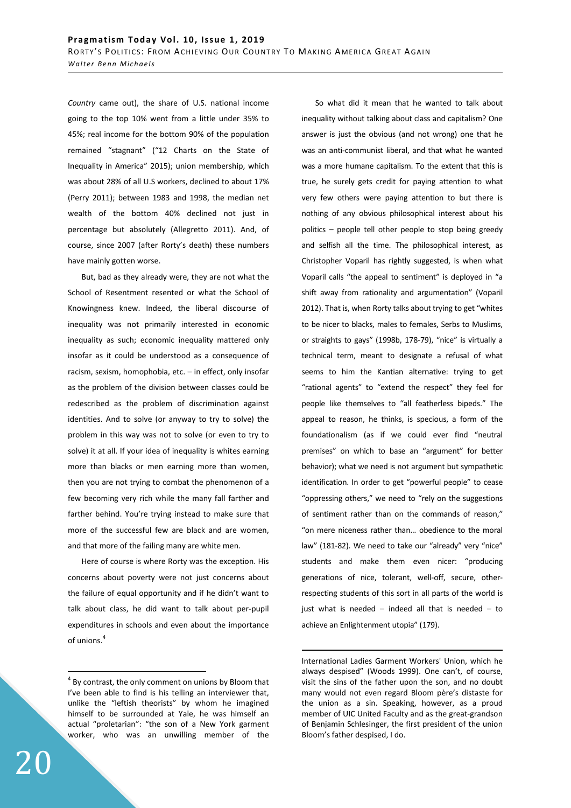Country came out), the share of U.S. national income going to the top 10% went from a little under 35% to 45%; real income for the bottom 90% of the population remained "stagnant" ("12 Charts on the State of Inequality in America" 2015); union membership, which was about 28% of all U.S workers, declined to about 17% (Perry 2011); between 1983 and 1998, the median net wealth of the bottom 40% declined not just in percentage but absolutely (Allegretto 2011). And, of course, since 2007 (after Rorty's death) these numbers have mainly gotten worse.

But, bad as they already were, they are not what the School of Resentment resented or what the School of Knowingness knew. Indeed, the liberal discourse of inequality was not primarily interested in economic inequality as such; economic inequality mattered only insofar as it could be understood as a consequence of racism, sexism, homophobia, etc. – in effect, only insofar as the problem of the division between classes could be redescribed as the problem of discrimination against identities. And to solve (or anyway to try to solve) the problem in this way was not to solve (or even to try to solve) it at all. If your idea of inequality is whites earning more than blacks or men earning more than women, then you are not trying to combat the phenomenon of a few becoming very rich while the many fall farther and farther behind. You're trying instead to make sure that more of the successful few are black and are women, and that more of the failing many are white men.

Here of course is where Rorty was the exception. His concerns about poverty were not just concerns about the failure of equal opportunity and if he didn't want to talk about class, he did want to talk about per-pupil expenditures in schools and even about the importance of unions.<sup>4</sup>

So what did it mean that he wanted to talk about inequality without talking about class and capitalism? One answer is just the obvious (and not wrong) one that he was an anti-communist liberal, and that what he wanted was a more humane capitalism. To the extent that this is true, he surely gets credit for paying attention to what very few others were paying attention to but there is nothing of any obvious philosophical interest about his politics – people tell other people to stop being greedy and selfish all the time. The philosophical interest, as Christopher Voparil has rightly suggested, is when what Voparil calls "the appeal to sentiment" is deployed in "a shift away from rationality and argumentation" (Voparil 2012). That is, when Rorty talks about trying to get "whites to be nicer to blacks, males to females, Serbs to Muslims, or straights to gays" (1998b, 178-79), "nice" is virtually a technical term, meant to designate a refusal of what seems to him the Kantian alternative: trying to get "rational agents" to "extend the respect" they feel for people like themselves to "all featherless bipeds." The appeal to reason, he thinks, is specious, a form of the foundationalism (as if we could ever find "neutral premises" on which to base an "argument" for better behavior); what we need is not argument but sympathetic identification. In order to get "powerful people" to cease "oppressing others," we need to "rely on the suggestions of sentiment rather than on the commands of reason," "on mere niceness rather than… obedience to the moral law" (181-82). We need to take our "already" very "nice" students and make them even nicer: "producing generations of nice, tolerant, well-off, secure, otherrespecting students of this sort in all parts of the world is just what is needed  $-$  indeed all that is needed  $-$  to achieve an Enlightenment utopia" (179).

-

 $\overline{a}$ 

 $4$  By contrast, the only comment on unions by Bloom that I've been able to find is his telling an interviewer that, unlike the "leftish theorists" by whom he imagined himself to be surrounded at Yale, he was himself an actual "proletarian": "the son of a New York garment worker, who was an unwilling member of the

International Ladies Garment Workers' Union, which he always despised" (Woods 1999). One can't, of course, visit the sins of the father upon the son, and no doubt many would not even regard Bloom père's distaste for the union as a sin. Speaking, however, as a proud member of UIC United Faculty and as the great-grandson of Benjamin Schlesinger, the first president of the union Bloom's father despised, I do.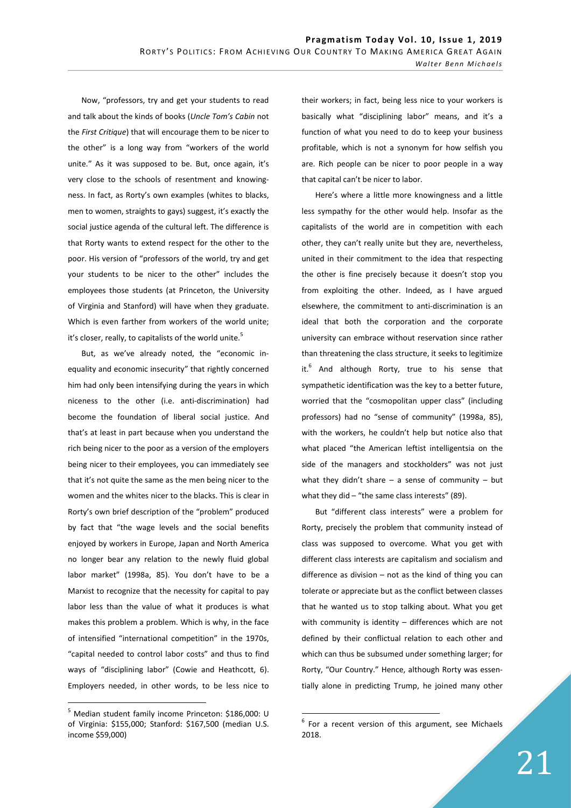Now, "professors, try and get your students to read and talk about the kinds of books (Uncle Tom's Cabin not the First Critique) that will encourage them to be nicer to the other" is a long way from "workers of the world unite." As it was supposed to be. But, once again, it's very close to the schools of resentment and knowingness. In fact, as Rorty's own examples (whites to blacks, men to women, straights to gays) suggest, it's exactly the social justice agenda of the cultural left. The difference is that Rorty wants to extend respect for the other to the poor. His version of "professors of the world, try and get your students to be nicer to the other" includes the employees those students (at Princeton, the University of Virginia and Stanford) will have when they graduate. Which is even farther from workers of the world unite; it's closer, really, to capitalists of the world unite.<sup>5</sup>

But, as we've already noted, the "economic inequality and economic insecurity" that rightly concerned him had only been intensifying during the years in which niceness to the other (i.e. anti-discrimination) had become the foundation of liberal social justice. And that's at least in part because when you understand the rich being nicer to the poor as a version of the employers being nicer to their employees, you can immediately see that it's not quite the same as the men being nicer to the women and the whites nicer to the blacks. This is clear in Rorty's own brief description of the "problem" produced by fact that "the wage levels and the social benefits enjoyed by workers in Europe, Japan and North America no longer bear any relation to the newly fluid global labor market" (1998a, 85). You don't have to be a Marxist to recognize that the necessity for capital to pay labor less than the value of what it produces is what makes this problem a problem. Which is why, in the face of intensified "international competition" in the 1970s, "capital needed to control labor costs" and thus to find ways of "disciplining labor" (Cowie and Heathcott, 6). Employers needed, in other words, to be less nice to

 $\overline{a}$ 

their workers; in fact, being less nice to your workers is basically what "disciplining labor" means, and it's a function of what you need to do to keep your business profitable, which is not a synonym for how selfish you are. Rich people can be nicer to poor people in a way that capital can't be nicer to labor.

Here's where a little more knowingness and a little less sympathy for the other would help. Insofar as the capitalists of the world are in competition with each other, they can't really unite but they are, nevertheless, united in their commitment to the idea that respecting the other is fine precisely because it doesn't stop you from exploiting the other. Indeed, as I have argued elsewhere, the commitment to anti-discrimination is an ideal that both the corporation and the corporate university can embrace without reservation since rather than threatening the class structure, it seeks to legitimize it.<sup>6</sup> And although Rorty, true to his sense that sympathetic identification was the key to a better future, worried that the "cosmopolitan upper class" (including professors) had no "sense of community" (1998a, 85), with the workers, he couldn't help but notice also that what placed "the American leftist intelligentsia on the side of the managers and stockholders" was not just what they didn't share  $-$  a sense of community  $-$  but what they did  $-$  "the same class interests" (89).

But "different class interests" were a problem for Rorty, precisely the problem that community instead of class was supposed to overcome. What you get with different class interests are capitalism and socialism and difference as division  $-$  not as the kind of thing you can tolerate or appreciate but as the conflict between classes that he wanted us to stop talking about. What you get with community is identity – differences which are not defined by their conflictual relation to each other and which can thus be subsumed under something larger; for Rorty, "Our Country." Hence, although Rorty was essentially alone in predicting Trump, he joined many other

-

<sup>5</sup> Median student family income Princeton: \$186,000: U of Virginia: \$155,000; Stanford: \$167,500 (median U.S. income \$59,000)

 $6$  For a recent version of this argument, see Michaels 2018.